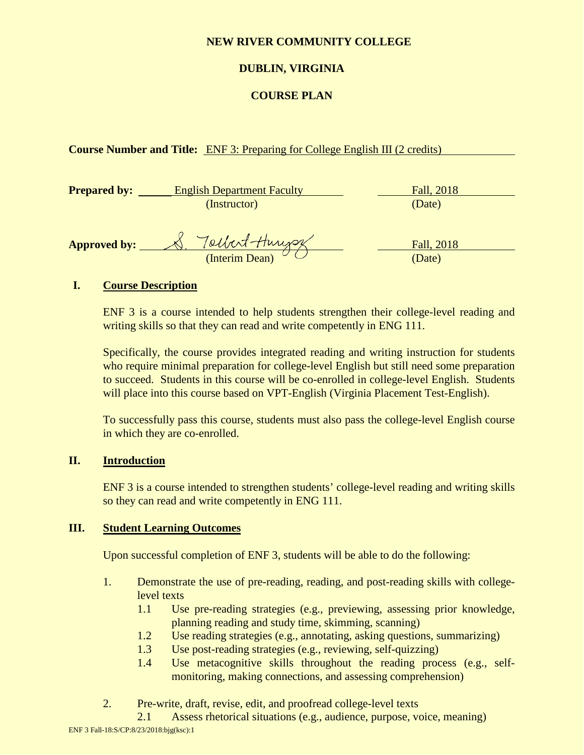## **NEW RIVER COMMUNITY COLLEGE**

# **DUBLIN, VIRGINIA**

## **COURSE PLAN**

## **Course Number and Title:** ENF 3: Preparing for College English III (2 credits)

| <b>Prepared by:</b> | <b>English Department Faculty</b> | Fall, 2018 |
|---------------------|-----------------------------------|------------|
|                     | (Instructor)                      | (Date)     |
|                     |                                   |            |
| <b>Approved by:</b> | Tolbert-Hunger                    | Fall, 2018 |
|                     | (Interim Dean)                    | (Date)     |

## **I. Course Description**

ENF 3 is a course intended to help students strengthen their college-level reading and writing skills so that they can read and write competently in ENG 111.

Specifically, the course provides integrated reading and writing instruction for students who require minimal preparation for college-level English but still need some preparation to succeed. Students in this course will be co-enrolled in college-level English. Students will place into this course based on VPT-English (Virginia Placement Test-English).

To successfully pass this course, students must also pass the college-level English course in which they are co-enrolled.

## **II. Introduction**

ENF 3 is a course intended to strengthen students' college-level reading and writing skills so they can read and write competently in ENG 111.

## **III. Student Learning Outcomes**

Upon successful completion of ENF 3, students will be able to do the following:

- 1. Demonstrate the use of pre-reading, reading, and post-reading skills with collegelevel texts
	- 1.1 Use pre-reading strategies (e.g., previewing, assessing prior knowledge, planning reading and study time, skimming, scanning)
	- 1.2 Use reading strategies (e.g., annotating, asking questions, summarizing)
	- 1.3 Use post-reading strategies (e.g., reviewing, self-quizzing)
	- 1.4 Use metacognitive skills throughout the reading process (e.g., selfmonitoring, making connections, and assessing comprehension)
- 2. Pre-write, draft, revise, edit, and proofread college-level texts

ENF 3 Fall-18:S/CP:8/23/2018:bjg(ksc):1 2.1 Assess rhetorical situations (e.g., audience, purpose, voice, meaning)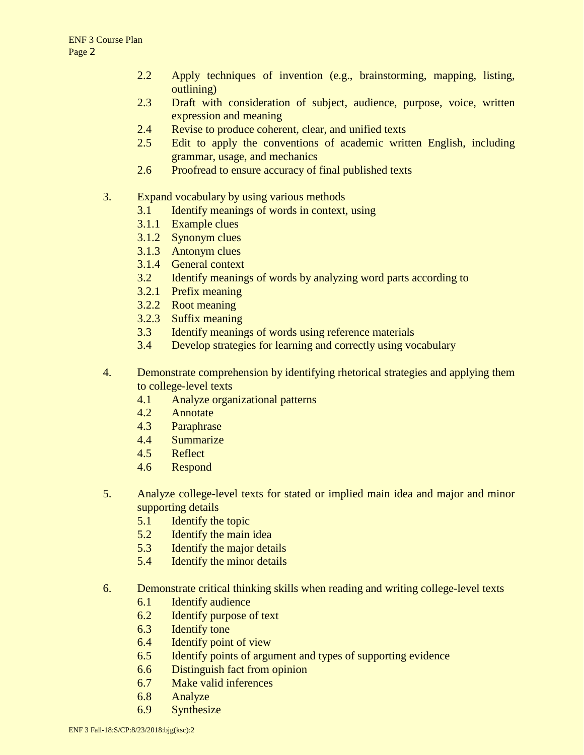- 2.2 Apply techniques of invention (e.g., brainstorming, mapping, listing, outlining)
- 2.3 Draft with consideration of subject, audience, purpose, voice, written expression and meaning
- 2.4 Revise to produce coherent, clear, and unified texts
- 2.5 Edit to apply the conventions of academic written English, including grammar, usage, and mechanics
- 2.6 Proofread to ensure accuracy of final published texts
- 3. Expand vocabulary by using various methods
	- 3.1 Identify meanings of words in context, using
	- 3.1.1 Example clues
	- 3.1.2 Synonym clues
	- 3.1.3 Antonym clues
	- 3.1.4 General context
	- 3.2 Identify meanings of words by analyzing word parts according to
	- 3.2.1 Prefix meaning
	- 3.2.2 Root meaning
	- 3.2.3 Suffix meaning
	- 3.3 Identify meanings of words using reference materials
	- 3.4 Develop strategies for learning and correctly using vocabulary
- 4. Demonstrate comprehension by identifying rhetorical strategies and applying them to college-level texts
	- 4.1 Analyze organizational patterns
	- 4.2 Annotate
	- 4.3 Paraphrase
	- 4.4 Summarize
	- 4.5 Reflect
	- 4.6 Respond
- 5. Analyze college-level texts for stated or implied main idea and major and minor supporting details
	- 5.1 Identify the topic
	- 5.2 Identify the main idea
	- 5.3 Identify the major details
	- 5.4 Identify the minor details
- 6. Demonstrate critical thinking skills when reading and writing college-level texts
	- 6.1 Identify audience
	- 6.2 Identify purpose of text
	- 6.3 Identify tone
	- 6.4 Identify point of view
	- 6.5 Identify points of argument and types of supporting evidence
	- 6.6 Distinguish fact from opinion
	- 6.7 Make valid inferences
	- 6.8 Analyze
	- 6.9 Synthesize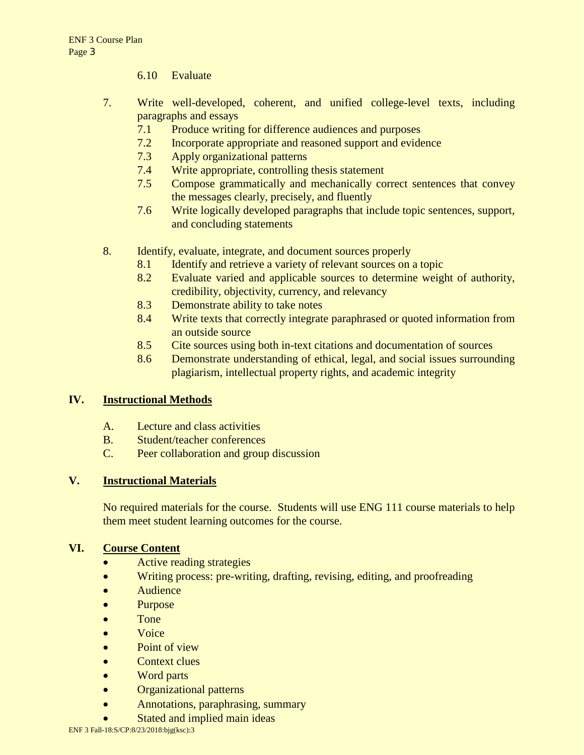- 6.10 Evaluate
- 7. Write well-developed, coherent, and unified college-level texts, including paragraphs and essays
	- 7.1 Produce writing for difference audiences and purposes
	- 7.2 Incorporate appropriate and reasoned support and evidence
	- 7.3 Apply organizational patterns
	- 7.4 Write appropriate, controlling thesis statement
	- 7.5 Compose grammatically and mechanically correct sentences that convey the messages clearly, precisely, and fluently
	- 7.6 Write logically developed paragraphs that include topic sentences, support, and concluding statements
- 8. Identify, evaluate, integrate, and document sources properly
	- 8.1 Identify and retrieve a variety of relevant sources on a topic
	- 8.2 Evaluate varied and applicable sources to determine weight of authority, credibility, objectivity, currency, and relevancy
	- 8.3 Demonstrate ability to take notes
	- 8.4 Write texts that correctly integrate paraphrased or quoted information from an outside source
	- 8.5 Cite sources using both in-text citations and documentation of sources
	- 8.6 Demonstrate understanding of ethical, legal, and social issues surrounding plagiarism, intellectual property rights, and academic integrity

## **IV. Instructional Methods**

- A. Lecture and class activities
- B. Student/teacher conferences
- C. Peer collaboration and group discussion

## **V. Instructional Materials**

No required materials for the course. Students will use ENG 111 course materials to help them meet student learning outcomes for the course.

## **VI. Course Content**

- Active reading strategies
- Writing process: pre-writing, drafting, revising, editing, and proofreading
- Audience
- Purpose
- Tone
- Voice
- Point of view
- Context clues
- Word parts
- Organizational patterns
- Annotations, paraphrasing, summary
- Stated and implied main ideas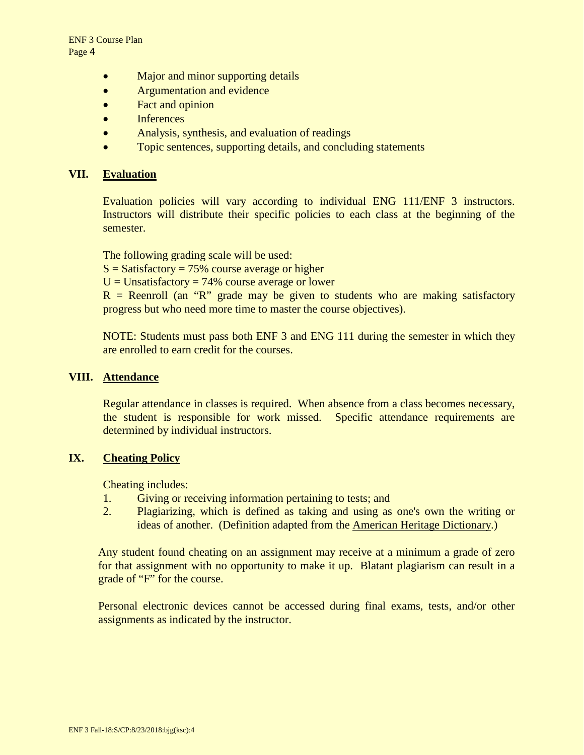- Major and minor supporting details
- Argumentation and evidence
- Fact and opinion
- Inferences
- Analysis, synthesis, and evaluation of readings
- Topic sentences, supporting details, and concluding statements

#### **VII. Evaluation**

Evaluation policies will vary according to individual ENG 111/ENF 3 instructors. Instructors will distribute their specific policies to each class at the beginning of the semester.

The following grading scale will be used:

 $S = S \cdot S \cdot A$  = 5% course average or higher

 $U =$  Unsatisfactory = 74% course average or lower

 $R$  = Reenroll (an "R" grade may be given to students who are making satisfactory progress but who need more time to master the course objectives).

NOTE: Students must pass both ENF 3 and ENG 111 during the semester in which they are enrolled to earn credit for the courses.

## **VIII. Attendance**

Regular attendance in classes is required. When absence from a class becomes necessary, the student is responsible for work missed. Specific attendance requirements are determined by individual instructors.

#### **IX. Cheating Policy**

Cheating includes:

- 1. Giving or receiving information pertaining to tests; and
- 2. Plagiarizing, which is defined as taking and using as one's own the writing or ideas of another. (Definition adapted from the American Heritage Dictionary.)

Any student found cheating on an assignment may receive at a minimum a grade of zero for that assignment with no opportunity to make it up. Blatant plagiarism can result in a grade of "F" for the course.

Personal electronic devices cannot be accessed during final exams, tests, and/or other assignments as indicated by the instructor.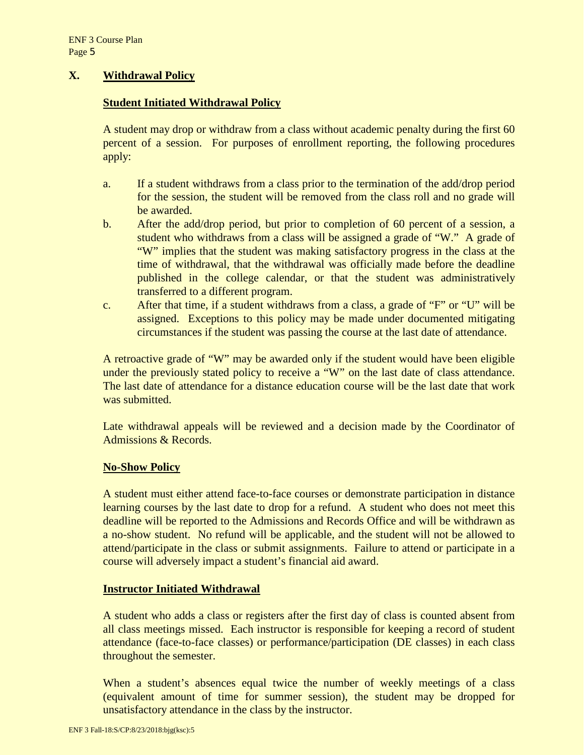## **X. Withdrawal Policy**

## **Student Initiated Withdrawal Policy**

A student may drop or withdraw from a class without academic penalty during the first 60 percent of a session. For purposes of enrollment reporting, the following procedures apply:

- a. If a student withdraws from a class prior to the termination of the add/drop period for the session, the student will be removed from the class roll and no grade will be awarded.
- b. After the add/drop period, but prior to completion of 60 percent of a session, a student who withdraws from a class will be assigned a grade of "W." A grade of "W" implies that the student was making satisfactory progress in the class at the time of withdrawal, that the withdrawal was officially made before the deadline published in the college calendar, or that the student was administratively transferred to a different program.
- c. After that time, if a student withdraws from a class, a grade of "F" or "U" will be assigned. Exceptions to this policy may be made under documented mitigating circumstances if the student was passing the course at the last date of attendance.

A retroactive grade of "W" may be awarded only if the student would have been eligible under the previously stated policy to receive a "W" on the last date of class attendance. The last date of attendance for a distance education course will be the last date that work was submitted.

Late withdrawal appeals will be reviewed and a decision made by the Coordinator of Admissions & Records.

## **No-Show Policy**

A student must either attend face-to-face courses or demonstrate participation in distance learning courses by the last date to drop for a refund. A student who does not meet this deadline will be reported to the Admissions and Records Office and will be withdrawn as a no-show student. No refund will be applicable, and the student will not be allowed to attend/participate in the class or submit assignments. Failure to attend or participate in a course will adversely impact a student's financial aid award.

## **Instructor Initiated Withdrawal**

A student who adds a class or registers after the first day of class is counted absent from all class meetings missed. Each instructor is responsible for keeping a record of student attendance (face-to-face classes) or performance/participation (DE classes) in each class throughout the semester.

When a student's absences equal twice the number of weekly meetings of a class (equivalent amount of time for summer session), the student may be dropped for unsatisfactory attendance in the class by the instructor.